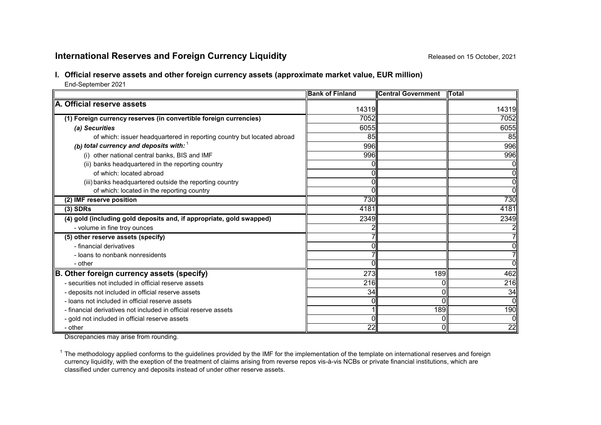# **International Reserves and Foreign Currency Liquidity Released on 15 October, 2021**

## **I. Official reserve assets and other foreign currency assets (approximate market value, EUR million)**

End-September 2021

|                                                                        | <b>Bank of Finland</b> | <b>Central Government</b> | <b>ITotal</b>  |
|------------------------------------------------------------------------|------------------------|---------------------------|----------------|
| A. Official reserve assets                                             | 14319                  |                           | 14319          |
| (1) Foreign currency reserves (in convertible foreign currencies)      | 7052                   |                           | 7052           |
|                                                                        | 6055                   |                           | 6055           |
| (a) Securities                                                         |                        |                           |                |
| of which: issuer headquartered in reporting country but located abroad | 85                     |                           | 85             |
| (b) total currency and deposits with: $1$                              | 996                    |                           | 996            |
| (i) other national central banks, BIS and IMF                          | 996                    |                           | 996            |
| (ii) banks headquartered in the reporting country                      |                        |                           | 0              |
| of which: located abroad                                               |                        |                           | $\overline{0}$ |
| (iii) banks headquartered outside the reporting country                |                        |                           | $\overline{0}$ |
| of which: located in the reporting country                             |                        |                           | 0              |
| (2) IMF reserve position                                               | 730                    |                           | 730            |
| $(3)$ SDRs                                                             | 4181                   |                           | 4181           |
| (4) gold (including gold deposits and, if appropriate, gold swapped)   | 2349                   |                           | 2349           |
| - volume in fine troy ounces                                           |                        |                           |                |
| (5) other reserve assets (specify)                                     |                        |                           |                |
| - financial derivatives                                                |                        |                           | 0              |
| - loans to nonbank nonresidents                                        |                        |                           | 7              |
| - other                                                                |                        |                           | ΩI             |
| B. Other foreign currency assets (specify)                             | 273                    | 189                       | 462            |
| - securities not included in official reserve assets                   | 216                    |                           | 216            |
| - deposits not included in official reserve assets                     | 34                     | O                         | 34             |
| - loans not included in official reserve assets                        |                        |                           | Οl             |
| - financial derivatives not included in official reserve assets        |                        | 189                       | 190            |
| - gold not included in official reserve assets                         |                        |                           | $\overline{0}$ |
| - other                                                                | 22                     |                           | 22             |

Discrepancies may arise from rounding.

 $1$  The methodology applied conforms to the guidelines provided by the IMF for the implementation of the template on international reserves and foreign currency liquidity, with the exeption of the treatment of claims arising from reverse repos vis-à-vis NCBs or private financial institutions, which are classified under currency and deposits instead of under other reserve assets.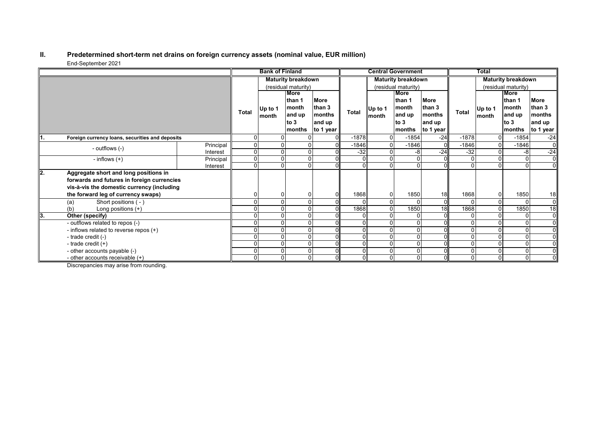#### **II. Predetermined short-term net drains on foreign currency assets (nominal value, EUR million)** End-September 2021

|      |                                                 |                           | <b>Bank of Finland</b> |         |               | <b>Central Government</b> |         |             | <b>Total</b>              |                     |              |                |               |                |
|------|-------------------------------------------------|---------------------------|------------------------|---------|---------------|---------------------------|---------|-------------|---------------------------|---------------------|--------------|----------------|---------------|----------------|
|      |                                                 | <b>Maturity breakdown</b> |                        |         |               | <b>Maturity breakdown</b> |         |             | <b>Maturity breakdown</b> |                     |              |                |               |                |
|      |                                                 |                           | (residual maturity)    |         |               | (residual maturity)       |         |             |                           | (residual maturity) |              |                |               |                |
|      |                                                 |                           | More                   |         |               |                           |         | <b>More</b> |                           |                     |              | More           |               |                |
|      |                                                 |                           |                        |         | lthan 1       | <b>More</b>               |         |             | than 1<br>month           | <b>More</b>         |              |                | than 1        | <b>More</b>    |
|      |                                                 |                           |                        | Up to 1 | month         | than 3                    |         | Up to 1     |                           | than 3              |              | Up to 1        | month         | than 3         |
|      |                                                 | <b>Total</b>              | month                  | and up  | <b>months</b> | Total                     | month   | and up      | months                    | <b>Total</b>        | month        | and up         | <b>months</b> |                |
|      |                                                 |                           |                        |         | to $3$        | and up                    |         |             | to $3$                    | and up              |              |                | to $3$        | and up         |
|      |                                                 |                           |                        |         | months        | to 1 year                 |         |             | months                    | to 1 year           |              |                | months        | to 1 year      |
| ll1. | Foreign currency loans, securities and deposits |                           | ŋ                      |         |               | $\Omega$                  | $-1878$ |             | $-1854$                   | $-24$               | $-1878$      | $\Omega$       | $-1854$       | $-24$          |
|      | - outflows (-)                                  | Principal                 | 0                      |         |               |                           | $-1846$ |             | $-1846$                   | $\sqrt{ }$          | $-1846$      | $\overline{0}$ | $-1846$       | $\overline{0}$ |
|      |                                                 | Interest                  | 0                      |         |               |                           | $-32$   |             | -8                        | $-24$               | $-32$        | 0              | -8            | $-24$          |
|      | - inflows $(+)$                                 | Principal                 | $\Omega$               |         |               |                           |         |             |                           |                     |              | 0              | $\mathbf{0}$  | $\overline{0}$ |
|      |                                                 | Interest                  | 0                      |         | O             |                           | U       |             |                           |                     |              |                | $\Omega$      | $\overline{0}$ |
| l2.  | Aggregate short and long positions in           |                           |                        |         |               |                           |         |             |                           |                     |              |                |               |                |
|      | forwards and futures in foreign currencies      |                           |                        |         |               |                           |         |             |                           |                     |              |                |               |                |
|      | vis-à-vis the domestic currency (including      |                           |                        |         |               |                           |         |             |                           |                     |              |                |               |                |
|      | the forward leg of currency swaps)              |                           |                        |         |               |                           | 1868    |             | 1850                      | 18                  | 1868         | 0              | 1850          | 18             |
|      | Short positions (-)<br>(a)                      |                           |                        |         |               |                           |         |             |                           | $\Omega$            |              | $\Omega$       |               | $\overline{0}$ |
|      | Long positions $(+)$<br>(b)                     |                           |                        |         |               |                           | 1868    |             | 1850                      | $\overline{18}$     | 1868         | $\Omega$       | 1850          | 18             |
| 13.  | Other (specify)                                 |                           |                        |         |               |                           |         |             |                           |                     |              |                |               | $\overline{0}$ |
|      | - outflows related to repos (-)                 |                           |                        |         |               |                           |         |             |                           |                     |              |                | $\Omega$      | 0I             |
|      | - inflows related to reverse repos (+)          |                           |                        |         |               |                           |         |             |                           |                     |              |                |               | $\overline{0}$ |
|      | - trade credit (-)                              |                           |                        |         |               |                           |         |             |                           |                     |              | 0              |               | $\overline{0}$ |
|      | - trade credit $(+)$                            |                           |                        |         |               | ΩI                        |         |             |                           |                     | $\Omega$     | 0              | $\Omega$      | $\overline{0}$ |
|      | - other accounts payable (-)                    |                           |                        |         |               |                           |         |             |                           |                     | $\mathbf{0}$ | $\Omega$       | $\Omega$      | $\overline{0}$ |
|      | - other accounts receivable $(+)$               |                           | 0                      |         | $\Omega$      |                           | 0       | $\Omega$    |                           |                     | 0            | $\overline{0}$ | $\Omega$      | $\overline{0}$ |

Discrepancies may arise from rounding.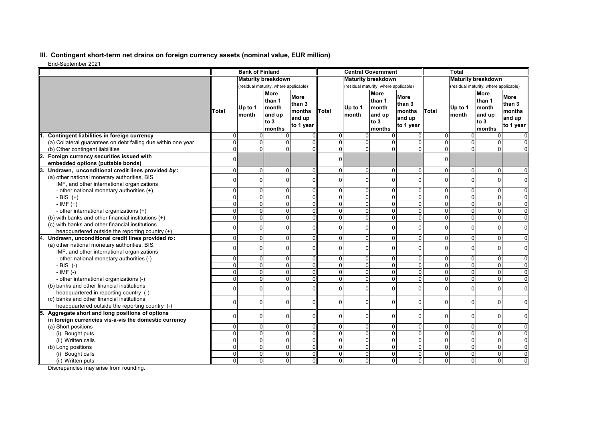## **III. Contingent short-term net drains on foreign currency assets (nominal value, EUR million)**

End-September 2021

| Liiu-ochiciinei zuz                                                                                 |                           | <b>Bank of Finland</b>                |                                                               |                                                        |                |                  | <b>Central Government</b>                           |                                                        |                | <b>Total</b>                          |                                                                    |                                                        |
|-----------------------------------------------------------------------------------------------------|---------------------------|---------------------------------------|---------------------------------------------------------------|--------------------------------------------------------|----------------|------------------|-----------------------------------------------------|--------------------------------------------------------|----------------|---------------------------------------|--------------------------------------------------------------------|--------------------------------------------------------|
|                                                                                                     | <b>Maturity breakdown</b> |                                       |                                                               | <b>Maturity breakdown</b>                              |                |                  |                                                     | <b>Maturity breakdown</b>                              |                |                                       |                                                                    |                                                        |
|                                                                                                     |                           | (residual maturity, where applicable) |                                                               |                                                        |                |                  | (residual maturity, where applicable)               |                                                        |                | (residual maturity, where applicable) |                                                                    |                                                        |
|                                                                                                     | Total                     | Up to 1<br>month                      | <b>More</b><br>than 1<br>Imonth<br>and up<br>to $3$<br>months | <b>More</b><br>than 3<br>months<br>and up<br>to 1 year | <b>Total</b>   | Up to 1<br>month | More<br>than 1<br>month<br>and up<br>to 3<br>months | <b>More</b><br>than 3<br>months<br>and up<br>to 1 year | Total          | Up to 1<br>month                      | <b>More</b><br>than 1<br><b>Imonth</b><br>and up<br>to 3<br>months | <b>More</b><br>than 3<br>months<br>and up<br>to 1 year |
| Contingent liabilities in foreign currency                                                          | $\Omega$                  | $\Omega$                              |                                                               |                                                        | $\Omega$       | $\Omega$         | $\Omega$                                            |                                                        | 0              | $\Omega$                              | 0                                                                  |                                                        |
| (a) Collateral quarantees on debt falling due within one year                                       | $\Omega$                  |                                       | $\Omega$<br>$\Omega$                                          | ΩI                                                     | $\Omega$       | $\Omega$         | $\Omega$                                            | $\Omega$                                               | 0              | $\Omega$                              | 0                                                                  |                                                        |
| (b) Other contingent liabilities                                                                    | $\Omega$                  |                                       | $\Omega$<br>$\Omega$                                          | ΩI                                                     | $\overline{0}$ | $\mathbf{0}$     | $\overline{0}$                                      | $\Omega$                                               | $\overline{0}$ | $\overline{0}$                        | $\overline{0}$                                                     |                                                        |
| Foreign currency securities issued with                                                             |                           |                                       |                                                               |                                                        | $\Omega$       |                  |                                                     |                                                        | $\Omega$       |                                       |                                                                    |                                                        |
| embedded options (puttable bonds)                                                                   |                           |                                       |                                                               |                                                        |                |                  |                                                     |                                                        |                |                                       |                                                                    |                                                        |
| Undrawn, unconditional credit lines provided by:                                                    | $\Omega$                  |                                       | $\Omega$<br>$\Omega$                                          | $\Omega$                                               | $\overline{0}$ | $\Omega$         | $\Omega$                                            | $\Omega$                                               | 0              | 0                                     | $\mathbf 0$                                                        | $\Omega$                                               |
| (a) other national monetary authorities, BIS,                                                       |                           | $\Omega$                              | $\Omega$                                                      | ΩI                                                     | $\Omega$       | $\Omega$         | $\Omega$                                            | $\Omega$                                               | 0              | $\Omega$                              | 0                                                                  | $\Omega$                                               |
| IMF, and other international organizations                                                          |                           |                                       |                                                               |                                                        |                |                  |                                                     |                                                        |                |                                       |                                                                    |                                                        |
| - other national monetary authorities (+)                                                           | $\Omega$                  |                                       | $\Omega$<br>$\Omega$                                          | $\Omega$                                               | $\Omega$       | 0                | $\Omega$                                            | $\Omega$                                               | 0              | 0                                     | $\mathbf 0$                                                        |                                                        |
| - BIS $(+)$                                                                                         | $\Omega$<br>$\Omega$      |                                       | $\Omega$<br>$\Omega$                                          | Οl                                                     | $\overline{0}$ | $\mathbf{0}$     | $\overline{0}$                                      | $\Omega$                                               | 0              | $\overline{0}$                        | $\overline{0}$                                                     | $\Omega$                                               |
| $-IMF (+)$                                                                                          | $\Omega$                  |                                       | $\Omega$<br>$\Omega$<br>$\Omega$<br>U                         | $\Omega$<br>ΩI                                         | $\Omega$       | $\Omega$         | $\Omega$                                            | $\Omega$<br>O                                          | 0              | $\overline{0}$                        | 0                                                                  | $\Omega$                                               |
| - other international organizations (+)                                                             |                           |                                       |                                                               |                                                        | $\Omega$       | $\Omega$         | $\Omega$                                            |                                                        | 0              | $\Omega$                              | 0                                                                  | $\Omega$                                               |
| (b) with banks and other financial institutions (+)                                                 | 0                         |                                       | $\Omega$<br><sup>0</sup>                                      | $\Omega$                                               | $\overline{0}$ | $\mathbf 0$      | $\overline{0}$                                      | $\Omega$                                               | 0              | $\overline{0}$                        | $\mathbf 0$                                                        | 0                                                      |
| (c) with banks and other financial institutions                                                     |                           | $\Omega$                              |                                                               | $\Omega$                                               | $\Omega$       | $\Omega$         | $\Omega$                                            | $\Omega$                                               | 0              | 0                                     | $\mathbf 0$                                                        | 0                                                      |
| headquartered outside the reporting country (+)<br>Undrawn, unconditional credit lines provided to: | $\Omega$                  | $\Omega$                              | $\Omega$                                                      | $\Omega$                                               | $\Omega$       | $\Omega$         | $\Omega$                                            | $\Omega$                                               | 0              | 0                                     | 0                                                                  | $\Omega$                                               |
| (a) other national monetary authorities, BIS,                                                       |                           |                                       |                                                               |                                                        |                |                  |                                                     |                                                        |                |                                       |                                                                    |                                                        |
| IMF, and other international organizations                                                          |                           | $\Omega$                              | ŋ                                                             | Οl                                                     | $\Omega$       | $\Omega$         | $\Omega$                                            | $\Omega$                                               | 0              | 0                                     | $\mathbf 0$                                                        | 0                                                      |
| - other national monetary authorities (-)                                                           | $\Omega$                  |                                       | $\Omega$                                                      | ΩI                                                     | $\overline{0}$ | $\Omega$         | 0                                                   | $\Omega$                                               | 0              | 0                                     | $\mathbf 0$                                                        |                                                        |
| $-BIS$ (-)                                                                                          | $\Omega$                  |                                       | $\Omega$<br>$\Omega$                                          | ΩI                                                     | $\overline{0}$ | $\mathbf 0$      | $\mathbf 0$                                         | $\Omega$                                               | 0              | $\overline{0}$                        | $\overline{0}$                                                     | $\Omega$                                               |
| $-IMF(-)$                                                                                           | $\Omega$                  |                                       | $\Omega$<br>$\Omega$                                          | Οl                                                     | $\overline{0}$ | $\Omega$         | $\Omega$                                            | $\Omega$                                               | 0              | $\overline{0}$                        | $\overline{0}$                                                     | $\overline{0}$                                         |
| - other international organizations (-)                                                             | $\Omega$                  |                                       | $\Omega$<br>ΩI                                                | ΩI                                                     | $\Omega$       | $\overline{0}$   | $\Omega$                                            | U                                                      | 0              | $\Omega$                              | 0                                                                  | $\Omega$                                               |
| (b) banks and other financial institutions                                                          |                           |                                       |                                                               |                                                        |                |                  |                                                     |                                                        |                |                                       |                                                                    |                                                        |
| headquartered in reporting country (-)                                                              | ŋ                         |                                       | $\Omega$<br><sup>0</sup>                                      | ΩI                                                     | 0              | $\Omega$         | $\Omega$                                            | $\Omega$                                               | $\Omega$       | 0                                     | $\mathbf 0$                                                        | $\mathbf 0$                                            |
| (c) banks and other financial institutions                                                          |                           |                                       |                                                               |                                                        |                |                  |                                                     |                                                        |                |                                       |                                                                    |                                                        |
| headquartered outside the reporting country (-)                                                     |                           | $\Omega$                              |                                                               | $\Omega$                                               | $\Omega$       | $\Omega$         | $\Omega$                                            | $\Omega$                                               | 0              | 0                                     | $\Omega$                                                           | $\Omega$                                               |
| Aggregate short and long positions of options                                                       |                           |                                       |                                                               |                                                        |                |                  |                                                     |                                                        |                |                                       |                                                                    |                                                        |
| in foreign currencies vis-à-vis the domestic currency                                               |                           |                                       | $\Omega$<br>ŋ                                                 | Οl                                                     | $\Omega$       | $\Omega$         | $\Omega$                                            | $\Omega$                                               | 0              | 0                                     | 0                                                                  | $\Omega$                                               |
| (a) Short positions                                                                                 | $\Omega$                  |                                       | $\Omega$<br><sup>0</sup>                                      | $\Omega$                                               | $\Omega$       | $\overline{0}$   | $\overline{0}$                                      | $\Omega$                                               | 0              | 0                                     | 0                                                                  | $\Omega$                                               |
| (i) Bought puts                                                                                     | $\Omega$                  |                                       | $\Omega$<br>$\Omega$                                          | Οl                                                     | $\overline{0}$ | $\mathbf{0}$     | $\overline{0}$                                      | $\Omega$                                               | 0              | $\overline{0}$                        | 0                                                                  | $\Omega$                                               |
| (ii) Written calls                                                                                  |                           |                                       | $\overline{0}$<br>U                                           | O.                                                     | $\overline{0}$ | 0                | $\Omega$                                            | 0                                                      | 0              | $\overline{0}$                        | $\overline{0}$                                                     | $\overline{0}$                                         |
| (b) Long positions                                                                                  | $\Omega$                  |                                       | $\Omega$<br>$\Omega$                                          | $\Omega$                                               | $\overline{0}$ | $\mathbf{0}$     | $\Omega$                                            | $\Omega$                                               | 0              | $\Omega$                              | 0                                                                  | $\Omega$                                               |
| (i) Bought calls                                                                                    | $\Omega$                  |                                       | $\Omega$<br>$\Omega$                                          | ΩI                                                     | $\overline{0}$ | $\mathbf{0}$     | $\overline{0}$                                      | $\Omega$                                               | 0              | $\overline{0}$                        | 0                                                                  | $\Omega$                                               |
| (ii) Written puts                                                                                   | $\Omega$                  |                                       | $\Omega$<br>$\Omega$                                          | Οl                                                     | $\Omega$       | $\mathbf 0$      | $\overline{0}$                                      | $\overline{0}$                                         | $\Omega$       | $\overline{0}$                        | 0                                                                  | $\Omega$                                               |

Discrepancies may arise from rounding.